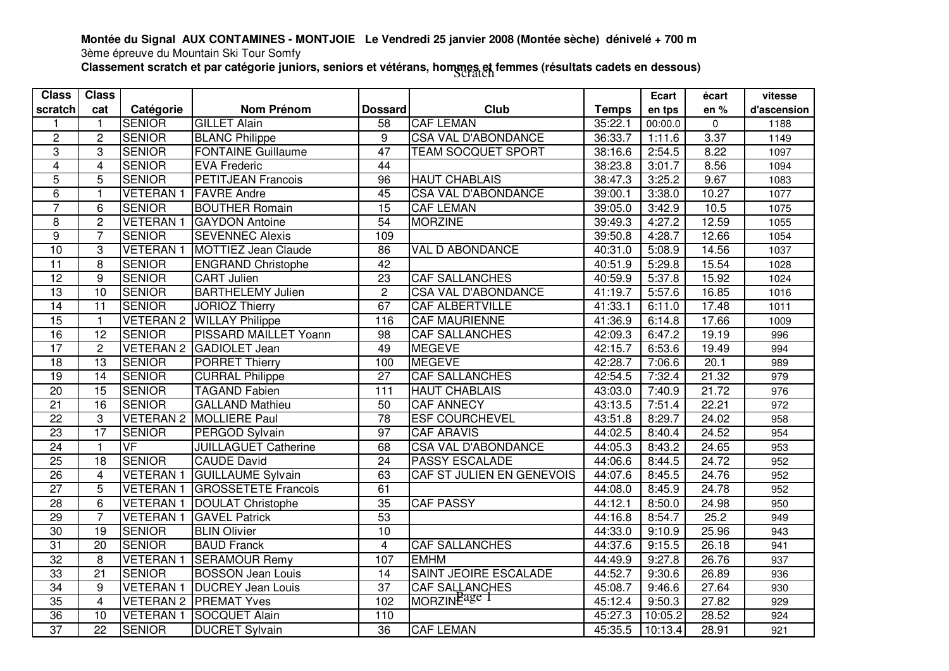## **Montée du Signal AUX CONTAMINES - MONTJOIE Le Vendredi 25 janvier 2008 (Montée sèche) dénivelé + 700 m**

3ème épreuve du Mountain Ski Tour Somfy

Classement scratch et par catégorie juniors, seniors et vétérans, hommes et femmes (résultats cadets en dessous)<br>Classement scratch et par catégorie juniors, seniors et vétérans, hommes et femmes (résultats cadets en desso

| <b>Class</b>    | <b>Class</b>    |                 |                                  |                  |                              |                      | Ecart   | écart     | vitesse          |
|-----------------|-----------------|-----------------|----------------------------------|------------------|------------------------------|----------------------|---------|-----------|------------------|
| scratch         | cat             | Catégorie       | <b>Nom Prénom</b>                | <b>Dossard</b>   | Club                         | <b>Temps</b>         | en tps  | en%       | d'ascension      |
|                 | $\mathbf{1}$    | <b>SENIOR</b>   | <b>GILLET Alain</b>              | $\overline{58}$  | <b>CAF LEMAN</b>             | 35:22.1              | 00:00.0 | $\pmb{0}$ | 1188             |
| $\overline{2}$  | $\overline{2}$  | <b>SENIOR</b>   | <b>BLANC Philippe</b>            | 9                | <b>CSA VAL D'ABONDANCE</b>   | 36:33.7              | 1:11.6  | 3.37      | 1149             |
| 3               | 3               | <b>SENIOR</b>   | <b>FONTAINE Guillaume</b>        | 47               | <b>TEAM SOCQUET SPORT</b>    | 38:16.6              | 2:54.5  | 8.22      | 1097             |
| $\overline{4}$  | $\overline{4}$  | <b>SENIOR</b>   | <b>EVA Frederic</b>              | 44               |                              | 38:23.8              | 3:01.7  | 8.56      | 1094             |
| $\overline{5}$  | 5               | <b>SENIOR</b>   | <b>PETITJEAN Francois</b>        | $\overline{96}$  | <b>HAUT CHABLAIS</b>         | 38:47.3              | 3:25.2  | 9.67      | 1083             |
| 6               | $\mathbf{1}$    | <b>VETERAN1</b> | <b>FAVRE Andre</b>               | 45               | <b>CSA VAL D'ABONDANCE</b>   | 39:00.1              | 3:38.0  | 10.27     | 1077             |
| $\overline{7}$  | 6               | <b>SENIOR</b>   | <b>BOUTHER Romain</b>            | 15               | <b>CAF LEMAN</b>             | 39:05.0              | 3:42.9  | 10.5      | 1075             |
| $\,8\,$         | $\overline{2}$  | <b>VETERAN1</b> | <b>GAYDON Antoine</b>            | 54               | <b>MORZINE</b>               | 39:49.3              | 4:27.2  | 12.59     | 1055             |
| $\overline{9}$  | $\overline{7}$  | <b>SENIOR</b>   | <b>SEVENNEC Alexis</b>           | 109              |                              | 39:50.8              | 4:28.7  | 12.66     | 1054             |
| 10              | 3               | <b>VETERAN1</b> | <b>MOTTIEZ Jean Claude</b>       | $\overline{86}$  | VAL D ABONDANCE              | 40:31.0              | 5:08.9  | 14.56     | 1037             |
| $\overline{11}$ | $\overline{8}$  | <b>SENIOR</b>   | <b>ENGRAND</b> Christophe        | $\overline{42}$  |                              | 40:51.9              | 5:29.8  | 15.54     | 1028             |
| 12              | $\overline{9}$  | <b>SENIOR</b>   | <b>CART Julien</b>               | $\overline{23}$  | <b>CAF SALLANCHES</b>        | 40:59.9              | 5:37.8  | 15.92     | 1024             |
| 13              | $\overline{10}$ | <b>SENIOR</b>   | <b>BARTHELEMY Julien</b>         | $\overline{2}$   | <b>CSA VAL D'ABONDANCE</b>   | 41:19.7              | 5:57.6  | 16.85     | 1016             |
| 14              | $\overline{11}$ | <b>SENIOR</b>   | <b>JORIOZ Thierry</b>            | 67               | <b>CAF ALBERTVILLE</b>       | 41:33.1              | 6:11.0  | 17.48     | 1011             |
| 15              | $\mathbf{1}$    |                 | <b>VETERAN 2 WILLAY Philippe</b> | 116              | <b>CAF MAURIENNE</b>         | 41:36.9              | 6:14.8  | 17.66     | 1009             |
| 16              | $\overline{12}$ | <b>SENIOR</b>   | <b>PISSARD MAILLET Yoann</b>     | $\overline{98}$  | <b>CAF SALLANCHES</b>        | $\overline{42:}09.3$ | 6:47.2  | 19.19     | 996              |
| $\overline{17}$ | $\overline{2}$  |                 | VETERAN 2 GADIOLET Jean          | 49               | <b>MEGEVE</b>                | 42:15.7              | 6:53.6  | 19.49     | 994              |
| $\overline{18}$ | $\overline{13}$ | <b>SENIOR</b>   | <b>PORRET Thierry</b>            | 100              | <b>MEGEVE</b>                | 42:28.7              | 7:06.6  | 20.1      | 989              |
| 19              | 14              | <b>SENIOR</b>   | <b>CURRAL Philippe</b>           | 27               | <b>CAF SALLANCHES</b>        | 42:54.5              | 7:32.4  | 21.32     | 979              |
| $\overline{20}$ | 15              | <b>SENIOR</b>   | <b>TAGAND Fabien</b>             | $\overline{111}$ | <b>HAUT CHABLAIS</b>         | 43:03.0              | 7:40.9  | 21.72     | 976              |
| $\overline{21}$ | $\overline{16}$ | <b>SENIOR</b>   | <b>GALLAND Mathieu</b>           | 50               | <b>CAF ANNECY</b>            | 43:13.5              | 7:51.4  | 22.21     | 972              |
| $\overline{22}$ | 3               |                 | <b>VETERAN 2 MOLLIERE Paul</b>   | $\overline{78}$  | <b>ESF COURCHEVEL</b>        | 43:51.8              | 8:29.7  | 24.02     | 958              |
| 23              | 17              | <b>SENIOR</b>   | PERGOD Sylvain                   | $\overline{97}$  | <b>CAF ARAVIS</b>            | 44:02.5              | 8:40.4  | 24.52     | 954              |
| $\overline{24}$ | $\mathbf{1}$    | VF              | <b>JUILLAGUET Catherine</b>      | 68               | <b>CSA VAL D'ABONDANCE</b>   | 44:05.3              | 8:43.2  | 24.65     | 953              |
| $\overline{25}$ | $\overline{18}$ | <b>SENIOR</b>   | <b>CAUDE David</b>               | $\overline{24}$  | <b>PASSY ESCALADE</b>        | 44:06.6              | 8:44.5  | 24.72     | 952              |
| $\overline{26}$ | $\overline{4}$  | <b>VETERAN1</b> | <b>GUILLAUME Sylvain</b>         | 63               | CAF ST JULIEN EN GENEVOIS    | 44:07.6              | 8:45.5  | 24.76     | 952              |
| $\overline{27}$ | $\overline{5}$  | <b>VETERAN1</b> | <b>GROSSETETE Francois</b>       | 61               |                              | 44:08.0              | 8:45.9  | 24.78     | 952              |
| 28              | $\overline{6}$  | <b>VETERAN1</b> | <b>DOULAT Christophe</b>         | 35               | <b>CAF PASSY</b>             | 44:12.1              | 8:50.0  | 24.98     | $\overline{950}$ |
| 29              | $\overline{7}$  | <b>VETERAN1</b> | <b>GAVEL Patrick</b>             | 53               |                              | 44:16.8              | 8:54.7  | 25.2      | 949              |
| 30              | $\overline{19}$ | <b>SENIOR</b>   | <b>BLIN Olivier</b>              | 10               |                              | 44:33.0              | 9:10.9  | 25.96     | 943              |
| 31              | $\overline{20}$ | <b>SENIOR</b>   | <b>BAUD Franck</b>               | $\overline{4}$   | <b>CAF SALLANCHES</b>        | 44:37.6              | 9:15.5  | 26.18     | 941              |
| 32              | 8               | <b>VETERAN1</b> | <b>SERAMOUR Remy</b>             | 107              | <b>EMHM</b>                  | 44:49.9              | 9:27.8  | 26.76     | 937              |
| 33              | $\overline{21}$ | <b>SENIOR</b>   | <b>BOSSON</b> Jean Louis         | 14               | <b>SAINT JEOIRE ESCALADE</b> | 44:52.7              | 9:30.6  | 26.89     | 936              |
| 34              | $\overline{9}$  | <b>VETERAN1</b> | <b>DUCREY Jean Louis</b>         | $\overline{37}$  | CAF SALLANCHES               | 45:08.7              | 9:46.6  | 27.64     | 930              |
| 35              | $\overline{4}$  |                 | <b>VETERAN 2 PREMAT Yves</b>     | 102              | MORZINE <sup>age 1</sup>     | 45:12.4              | 9:50.3  | 27.82     | 929              |
| 36              | 10              | <b>VETERAN1</b> | SOCQUET Alain                    | 110              |                              | 45:27.3              | 10:05.2 | 28.52     | 924              |
| $\overline{37}$ | $\overline{22}$ | <b>SENIOR</b>   | <b>DUCRET</b> Sylvain            | 36               | <b>CAF LEMAN</b>             | 45:35.5              | 10:13.4 | 28.91     | 921              |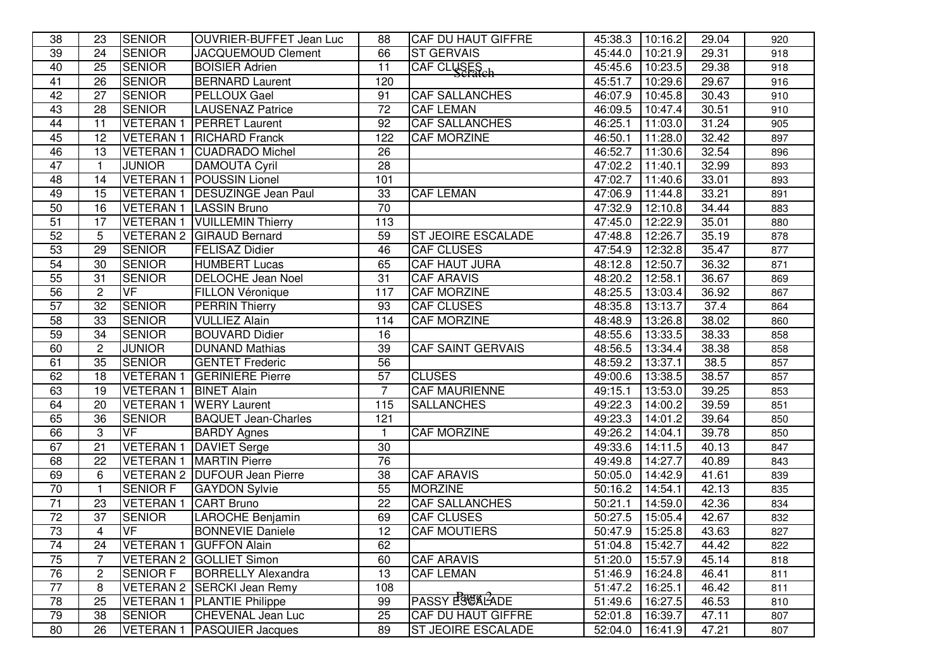| 38              | 23              | <b>SENIOR</b>    | <b>OUVRIER-BUFFET Jean Luc</b>  | 88              | <b>CAF DU HAUT GIFFRE</b> | 45:38.3 | 10:16.2 | 29.04 | 920 |
|-----------------|-----------------|------------------|---------------------------------|-----------------|---------------------------|---------|---------|-------|-----|
| 39              | 24              | <b>SENIOR</b>    | <b>JACQUEMOUD Clement</b>       | 66              | <b>ST GERVAIS</b>         | 45:44.0 | 10:21.9 | 29.31 | 918 |
| 40              | $\overline{25}$ | <b>SENIOR</b>    | <b>BOISIER Adrien</b>           | 11              | CAF CLUSES                | 45:45.6 | 10:23.5 | 29.38 | 918 |
| $\overline{41}$ | 26              | <b>SENIOR</b>    | <b>BERNARD Laurent</b>          | 120             |                           | 45:51.7 | 10:29.6 | 29.67 | 916 |
| 42              | $\overline{27}$ | <b>SENIOR</b>    | <b>PELLOUX Gael</b>             | 91              | <b>CAF SALLANCHES</b>     | 46:07.9 | 10:45.8 | 30.43 | 910 |
| 43              | $\overline{28}$ | <b>SENIOR</b>    | <b>LAUSENAZ</b> Patrice         | $\overline{72}$ | <b>CAF LEMAN</b>          | 46:09.5 | 10:47.4 | 30.51 | 910 |
| 44              | 11              | <b>VETERAN1</b>  | <b>PERRET Laurent</b>           | 92              | CAF SALLANCHES            | 46:25.1 | 11:03.0 | 31.24 | 905 |
| 45              | 12              |                  | VETERAN 1 RICHARD Franck        | 122             | <b>CAF MORZINE</b>        | 46:50.1 | 11:28.0 | 32.42 | 897 |
| 46              | $\overline{13}$ |                  | VETERAN 1 CUADRADO Michel       | 26              |                           | 46:52.7 | 11:30.6 | 32.54 | 896 |
| $\overline{47}$ | $\mathbf{1}$    | <b>JUNIOR</b>    | <b>DAMOUTA Cyril</b>            | $\overline{28}$ |                           | 47:02.2 | 11:40.1 | 32.99 | 893 |
| 48              | 14              |                  | <b>VETERAN 1 POUSSIN Lionel</b> | 101             |                           | 47:02.7 | 11:40.6 | 33.01 | 893 |
| 49              | $\overline{15}$ |                  | VETERAN 1   DESUZINGE Jean Paul | $\overline{33}$ | <b>CAF LEMAN</b>          | 47:06.9 | 11:44.8 | 33.21 | 891 |
| 50              | 16              |                  | VETERAN 1   LASSIN Bruno        | 70              |                           | 47:32.9 | 12:10.8 | 34.44 | 883 |
| 51              | 17              | <b>VETERAN1</b>  | <b>VUILLEMIN Thierry</b>        | 113             |                           | 47:45.0 | 12:22.9 | 35.01 | 880 |
| 52              | 5               | <b>VETERAN 2</b> | <b>GIRAUD Bernard</b>           | 59              | <b>ST JEOIRE ESCALADE</b> | 47:48.8 | 12:26.7 | 35.19 | 878 |
| 53              | 29              | <b>SENIOR</b>    | <b>FELISAZ Didier</b>           | 46              | <b>CAF CLUSES</b>         | 47:54.9 | 12:32.8 | 35.47 | 877 |
| $\overline{54}$ | 30              | <b>SENIOR</b>    | <b>HUMBERT Lucas</b>            | 65              | CAF HAUT JURA             | 48:12.8 | 12:50.7 | 36.32 | 871 |
| 55              | 31              | <b>SENIOR</b>    | <b>DELOCHE Jean Noel</b>        | 31              | <b>CAF ARAVIS</b>         | 48:20.2 | 12:58.1 | 36.67 | 869 |
| $\overline{56}$ | $\overline{c}$  | VF               | <b>FILLON Véronique</b>         | 117             | <b>CAF MORZINE</b>        | 48:25.5 | 13:03.4 | 36.92 | 867 |
| 57              | 32              | <b>SENIOR</b>    | <b>PERRIN Thierry</b>           | 93              | <b>CAF CLUSES</b>         | 48:35.8 | 13:13.7 | 37.4  | 864 |
| 58              | 33              | <b>SENIOR</b>    | <b>VULLIEZ Alain</b>            | 114             | <b>CAF MORZINE</b>        | 48:48.9 | 13:26.8 | 38.02 | 860 |
| 59              | 34              | <b>SENIOR</b>    | <b>BOUVARD Didier</b>           | 16              |                           | 48:55.6 | 13:33.5 | 38.33 | 858 |
| 60              | $\overline{2}$  | <b>JUNIOR</b>    | <b>DUNAND Mathias</b>           | 39              | <b>CAF SAINT GERVAIS</b>  | 48:56.5 | 13:34.4 | 38.38 | 858 |
| 61              | 35              | <b>SENIOR</b>    | <b>GENTET Frederic</b>          | $\overline{56}$ |                           | 48:59.2 | 13:37.1 | 38.5  | 857 |
| 62              | $\overline{18}$ | <b>VETERAN1</b>  | <b>GERINIERE Pierre</b>         | 57              | <b>CLUSES</b>             | 49:00.6 | 13:38.5 | 38.57 | 857 |
| 63              | 19              | <b>VETERAN1</b>  | <b>BINET Alain</b>              | $\overline{7}$  | <b>CAF MAURIENNE</b>      | 49:15.1 | 13:53.0 | 39.25 | 853 |
| 64              | 20              | <b>VETERAN1</b>  | <b>WERY</b> Laurent             | 115             | <b>SALLANCHES</b>         | 49:22.3 | 14:00.2 | 39.59 | 851 |
| 65              | $\overline{36}$ | <b>SENIOR</b>    | <b>BAQUET Jean-Charles</b>      | 121             |                           | 49:23.3 | 14:01.2 | 39.64 | 850 |
| 66              | 3               | <b>VF</b>        | <b>BARDY Agnes</b>              | $\mathbf{1}$    | <b>CAF MORZINE</b>        | 49:26.2 | 14:04.1 | 39.78 | 850 |
| 67              | $\overline{21}$ | <b>VETERAN1</b>  | <b>DAVIET Serge</b>             | 30              |                           | 49:33.6 | 14:11.5 | 40.13 | 847 |
| 68              | $\overline{22}$ | <b>VETERAN1</b>  | <b>MARTIN Pierre</b>            | 76              |                           | 49:49.8 | 14:27.7 | 40.89 | 843 |
| 69              | 6               |                  | VETERAN 2 DUFOUR Jean Pierre    | 38              | <b>CAF ARAVIS</b>         | 50:05.0 | 14:42.9 | 41.61 | 839 |
| 70              | 1               | <b>SENIOR F</b>  | <b>GAYDON Sylvie</b>            | 55              | <b>MORZINE</b>            | 50:16.2 | 14:54.1 | 42.13 | 835 |
| 71              | 23              | <b>VETERAN1</b>  | <b>CART Bruno</b>               | 22              | <b>CAF SALLANCHES</b>     | 50:21.1 | 14:59.0 | 42.36 | 834 |
| $\overline{72}$ | 37              | <b>SENIOR</b>    | LAROCHE Benjamin                | 69              | <b>CAF CLUSES</b>         | 50:27.5 | 15:05.4 | 42.67 | 832 |
| $\overline{73}$ | $\overline{4}$  | VF               | <b>BONNEVIE Daniele</b>         | 12              | <b>CAF MOUTIERS</b>       | 50:47.9 | 15:25.8 | 43.63 | 827 |
| 74              | 24              |                  | VETERAN 1 GUFFON Alain          | 62              |                           | 51:04.8 | 15:42.7 | 44.42 | 822 |
| $\overline{75}$ | 7               |                  | VETERAN 2 GOLLIET Simon         | 60              | <b>CAF ARAVIS</b>         | 51:20.0 | 15:57.9 | 45.14 | 818 |
| $\overline{76}$ | $\mathbf 2$     | <b>SENIOR F</b>  | <b>BORRELLY Alexandra</b>       | 13              | <b>CAF LEMAN</b>          | 51:46.9 | 16:24.8 | 46.41 | 811 |
| $\overline{77}$ | 8               |                  | VETERAN 2 SERCKI Jean Remy      | 108             |                           | 51:47.2 | 16:25.1 | 46.42 | 811 |
| 78              | 25              | <b>VETERAN1</b>  | <b>PLANTIE Philippe</b>         | 99              | PASSY ESSALADE            | 51:49.6 | 16:27.5 | 46.53 | 810 |
| 79              | 38              | <b>SENIOR</b>    | CHEVENAL Jean Luc               | 25              | CAF DU HAUT GIFFRE        | 52:01.8 | 16:39.7 | 47.11 | 807 |
| 80              | $\overline{26}$ | <b>VETERAN1</b>  | <b>PASQUIER Jacques</b>         | 89              | <b>ST JEOIRE ESCALADE</b> | 52:04.0 | 16:41.9 | 47.21 | 807 |